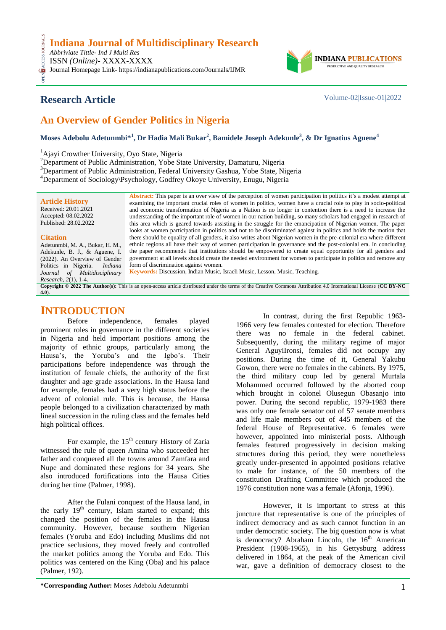### **Indiana Journal of Multidisciplinary Research**

*Abbriviate Tittle- Ind J Multi Res* ISSN *(Online)*- XXXX-XXXX

OPEN ACCESS JOURNALS **CESS** Journal Homepage Link- https://indianapublications.com/Journals/IJMR



# **Research Article** Volume-02|Issue-01|2022

# **An Overview of Gender Politics in Nigeria**

### **Moses Adebolu Adetunmbi\*<sup>1</sup> , Dr Hadia Mali Bukar<sup>2</sup> , Bamidele Joseph Adekunle<sup>3</sup> , & Dr Ignatius Aguene<sup>4</sup>**

<sup>1</sup>Ajayi Crowther University, Oyo State, Nigeria

<sup>2</sup>Department of Public Administration, Yobe State University, Damaturu, Nigeria

<sup>3</sup>Department of Public Administration, Federal University Gashua, Yobe State, Nigeria

<sup>4</sup>Department of Sociology\Psychology, Godfrey Okoye University, Enugu, Nigeria

**Article History** Received: 20.01.2021 Accepted: 08.02.2022 Published: 28.02.2022

#### **Citation**

Adetunmbi, M. A., Bukar, H. M., Adekunle, B. J., & Aguene, I. (2022). An Overview of Gender Politics in Nigeria. *Indiana Journal of Multidisciplinary Research, 2*(1), 1-4.

**Abstract:** This paper is an over view of the perception of women participation in politics it"s a modest attempt at examining the important crucial roles of women in politics, women have a crucial role to play in socio-political and economic transformation of Nigeria as a Nation is no longer in contention there is a need to increase the understanding of the important role of women in our nation building, so many scholars had engaged in research of this area which is geared towards assisting in the struggle for the emancipation of Nigerian women. The paper looks at women participation in politics and not to be discriminated against in politics and holds the motion that there should be equality of all genders, it also writes about Nigerian women in the pre-colonial era where different ethnic regions all have their way of women participation in governance and the post-colonial era. In concluding the paper recommends that institutions should be empowered to create equal opportunity for all genders and government at all levels should create the needed environment for women to participate in politics and remove any form of discrimination against women*.* **Keywords:** Discussion, Indian Music, Israeli Music, Lesson, Music, Teaching*.*

**Copyright © 2022 The Author(s):** This is an open-access article distributed under the terms of the Creative Commons Attribution 4.0 International License (**[CC BY-NC](https://creativecommons.org/licenses/by-nc/4.0/)  [4.0](https://creativecommons.org/licenses/by-nc/4.0/)**).

## **INTRODUCTION**

Before independence, females played prominent roles in governance in the different societies in Nigeria and held important positions among the majority of ethnic groups, particularly among the Hausa's, the Yoruba's and the Igbo's. Their participations before independence was through the institution of female chiefs, the authority of the first daughter and age grade associations. In the Hausa land for example, females had a very high status before the advent of colonial rule. This is because, the Hausa people belonged to a civilization characterized by math lineal succession in the ruling class and the females held high political offices.

For example, the  $15<sup>th</sup>$  century History of Zaria witnessed the rule of queen Amina who succeeded her father and conquered all the towns around Zamfara and Nupe and dominated these regions for 34 years. She also introduced fortifications into the Hausa Cities during her time (Palmer, 1998).

After the Fulani conquest of the Hausa land, in the early  $19<sup>th</sup>$  century, Islam started to expand; this changed the position of the females in the Hausa community. However, because southern Nigerian females (Yoruba and Edo) including Muslims did not practice seclusions, they moved freely and controlled the market politics among the Yoruba and Edo. This politics was centered on the King (Oba) and his palace (Palmer, 192).

In contrast, during the first Republic 1963- 1966 very few females contested for election. Therefore there was no female in the federal cabinet. Subsequently, during the military regime of major General AguyiIronsi, females did not occupy any positions. During the time of it, General Yakubu Gowon, there were no females in the cabinets. By 1975, the third military coup led by general Murtala Mohammed occurred followed by the aborted coup which brought in colonel Olusegun Obasanjo into power. During the second republic, 1979-1983 there was only one female senator out of 57 senate members and life male members out of 445 members of the federal House of Representative. 6 females were however, appointed into ministerial posts. Although females featured progressively in decision making structures during this period, they were nonetheless greatly under-presented in appointed positions relative to male for instance, of the 50 members of the constitution Drafting Committee which produced the 1976 constitution none was a female (Afonja, 1996).

However, it is important to stress at this juncture that representative is one of the principles of indirect democracy and as such cannot function in an under democratic society. The big question now is what is democracy? Abraham Lincoln, the  $16<sup>th</sup>$  American President (1908-1965), in his Gettysburg address delivered in 1864, at the peak of the American civil war, gave a definition of democracy closest to the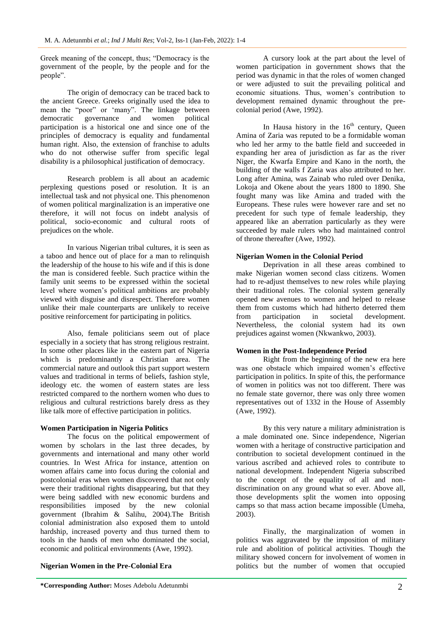Greek meaning of the concept, thus; "Democracy is the government of the people, by the people and for the people".

The origin of democracy can be traced back to the ancient Greece. Greeks originally used the idea to mean the "poor" or "many". The linkage between democratic governance and women political participation is a historical one and since one of the principles of democracy is equality and fundamental human right. Also, the extension of franchise to adults who do not otherwise suffer from specific legal disability is a philosophical justification of democracy.

Research problem is all about an academic perplexing questions posed or resolution. It is an intellectual task and not physical one. This phenomenon of women political marginalization is an imperative one therefore, it will not focus on indebt analysis of political, socio-economic and cultural roots of prejudices on the whole.

In various Nigerian tribal cultures, it is seen as a taboo and hence out of place for a man to relinquish the leadership of the house to his wife and if this is done the man is considered feeble. Such practice within the family unit seems to be expressed within the societal level where women"s political ambitions are probably viewed with disguise and disrespect. Therefore women unlike their male counterparts are unlikely to receive positive reinforcement for participating in politics.

Also, female politicians seem out of place especially in a society that has strong religious restraint. In some other places like in the eastern part of Nigeria which is predominantly a Christian area. The commercial nature and outlook this part support western values and traditional in terms of beliefs, fashion style, ideology etc. the women of eastern states are less restricted compared to the northern women who dues to religious and cultural restrictions barely dress as they like talk more of effective participation in politics.

#### **Women Participation in Nigeria Politics**

The focus on the political empowerment of women by scholars in the last three decades, by governments and international and many other world countries. In West Africa for instance, attention on women affairs came into focus during the colonial and postcolonial eras when women discovered that not only were their traditional rights disappearing, but that they were being saddled with new economic burdens and responsibilities imposed by the new colonial government (Ibrahim & Salihu, 2004).The British colonial administration also exposed them to untold hardship, increased poverty and thus turned them to tools in the hands of men who dominated the social, economic and political environments (Awe, 1992).

#### **Nigerian Women in the Pre-Colonial Era**

A cursory look at the part about the level of women participation in government shows that the period was dynamic in that the roles of women changed or were adjusted to suit the prevailing political and economic situations. Thus, women"s contribution to development remained dynamic throughout the precolonial period (Awe, 1992).

In Hausa history in the  $16<sup>th</sup>$  century, Queen Amina of Zaria was reputed to be a formidable woman who led her army to the battle field and succeeded in expanding her area of jurisdiction as far as the river Niger, the Kwarfa Empire and Kano in the north, the building of the walls f Zaria was also attributed to her. Long after Amina, was Zainab who ruled over Denika, Lokoja and Okene about the years 1800 to 1890. She fought many was like Amina and traded with the Europeans. These rules were however rare and set no precedent for such type of female leadership, they appeared like an aberration particularly as they were succeeded by male rulers who had maintained control of throne thereafter (Awe, 1992).

#### **Nigerian Women in the Colonial Period**

Deprivation in all these areas combined to make Nigerian women second class citizens. Women had to re-adjust themselves to new roles while playing their traditional roles. The colonial system generally opened new avenues to women and helped to release them from customs which had hitherto deterred them from participation in societal development. Nevertheless, the colonial system had its own prejudices against women (Nkwankwo, 2003).

#### **Women in the Post-Independence Period**

Right from the beginning of the new era here was one obstacle which impaired women's effective participation in politics. In spite of this, the performance of women in politics was not too different. There was no female state governor, there was only three women representatives out of 1332 in the House of Assembly (Awe, 1992).

By this very nature a military administration is a male dominated one. Since independence, Nigerian women with a heritage of constructive participation and contribution to societal development continued in the various ascribed and achieved roles to contribute to national development. Independent Nigeria subscribed to the concept of the equality of all and nondiscrimination on any ground what so ever. Above all, those developments split the women into opposing camps so that mass action became impossible (Umeha, 2003).

Finally, the marginalization of women in politics was aggravated by the imposition of military rule and abolition of political activities. Though the military showed concern for involvement of women in politics but the number of women that occupied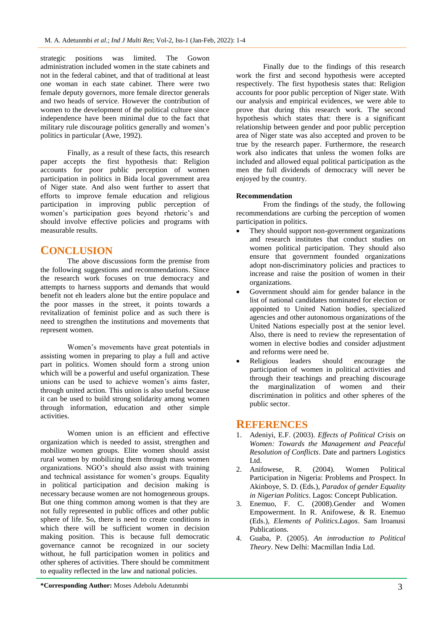strategic positions was limited. The Gowon administration included women in the state cabinets and not in the federal cabinet, and that of traditional at least one woman in each state cabinet. There were two female deputy governors, more female director generals and two heads of service. However the contribution of women to the development of the political culture since independence have been minimal due to the fact that military rule discourage politics generally and women"s politics in particular (Awe, 1992).

Finally, as a result of these facts, this research paper accepts the first hypothesis that: Religion accounts for poor public perception of women participation in politics in Bida local government area of Niger state. And also went further to assert that efforts to improve female education and religious participation in improving public perception of women's participation goes beyond rhetoric's and should involve effective policies and programs with measurable results.

### **CONCLUSION**

The above discussions form the premise from the following suggestions and recommendations. Since the research work focuses on true democracy and attempts to harness supports and demands that would benefit not eh leaders alone but the entire populace and the poor masses in the street, it points towards a revitalization of feminist police and as such there is need to strengthen the institutions and movements that represent women.

Women"s movements have great potentials in assisting women in preparing to play a full and active part in politics. Women should form a strong union which will be a powerful and useful organization. These unions can be used to achieve women"s aims faster, through united action. This union is also useful because it can be used to build strong solidarity among women through information, education and other simple activities.

Women union is an efficient and effective organization which is needed to assist, strengthen and mobilize women groups. Elite women should assist rural women by mobilizing them through mass women organizations. NGO"s should also assist with training and technical assistance for women"s groups. Equality in political participation and decision making is necessary because women are not homogeneous groups. But one thing common among women is that they are not fully represented in public offices and other public sphere of life. So, there is need to create conditions in which there will be sufficient women in decision making position. This is because full democratic governance cannot be recognized in our society without, he full participation women in politics and other spheres of activities. There should be commitment to equality reflected in the law and national policies.

Finally due to the findings of this research work the first and second hypothesis were accepted respectively. The first hypothesis states that: Religion accounts for poor public perception of Niger state. With our analysis and empirical evidences, we were able to prove that during this research work. The second hypothesis which states that: there is a significant relationship between gender and poor public perception area of Niger state was also accepted and proven to be true by the research paper. Furthermore, the research work also indicates that unless the women folks are included and allowed equal political participation as the men the full dividends of democracy will never be enjoyed by the country.

### **Recommendation**

From the findings of the study, the following recommendations are curbing the perception of women participation in politics.

- They should support non-government organizations and research institutes that conduct studies on women political participation. They should also ensure that government founded organizations adopt non-discriminatory policies and practices to increase and raise the position of women in their organizations.
- Government should aim for gender balance in the list of national candidates nominated for election or appointed to United Nation bodies, specialized agencies and other autonomous organizations of the United Nations especially post at the senior level. Also, there is need to review the representation of women in elective bodies and consider adjustment and reforms were need be.
- Religious leaders should encourage the participation of women in political activities and through their teachings and preaching discourage the marginalization of women and their discrimination in politics and other spheres of the public sector.

## **REFERENCES**

- 1. Adeniyi, E.F. (2003). *Effects of Political Crisis on Women: Towards the Management and Peaceful Resolution of Conflicts*. Date and partners Logistics Ltd.
- 2. Anifowese, R. (2004). Women Political Participation in Nigeria: Problems and Prospect. In Akinboye, S. D. (Eds.), *Paradox of gender Equality in Nigerian Politics*. Lagos: Concept Publication.
- 3. Enemuo, F. C. (2008).Gender and Women Empowerment. In R. Anifowese, & R. Enemuo (Eds.), *Elements of Politics.Lagos*. Sam Iroanusi Publications.
- 4. Guaba, P. (2005). *An introduction to Political Theory*. New Delhi: Macmillan India Ltd.